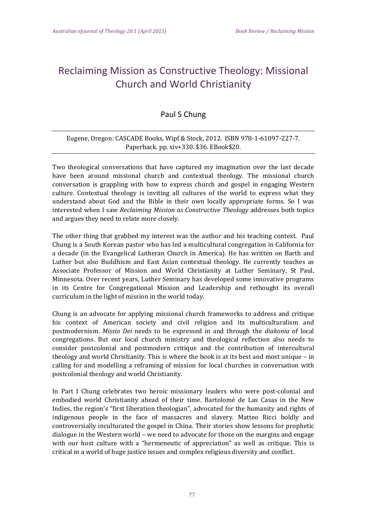## Reclaiming Mission as Constructive Theology: Missional Church and World Christianity

## Paul S Chung

## Eugene, Oregon: CASCADE Books, Wipf & Stock, 2012. ISBN 978-1-61097-227-7. Paperback. pp. xiv+330. \$36. EBook\$20.

Two theological conversations that have captured my imagination over the last decade have been around missional church and contextual theology. The missional church conversation is grappling with how to express church and gospel in engaging Western culture. Contextual theology is inviting all cultures of the world to express what they understand about God and the Bible in their own locally appropriate forms. So I was interested when I saw *Reclaiming Mission as Constructive Theology* addresses both topics and argues they need to relate more closely.

The other thing that grabbed my interest was the author and his teaching context. Paul Chung is a South Korean pastor who has led a multicultural congregation in California for a decade (in the Evangelical Lutheran Church in America). He has written on Barth and Luther but also Buddhism and East Asian contextual theology. He currently teaches as Associate Professor of Mission and World Christianity at Luther Seminary, St Paul, Minnesota. Over recent years, Luther Seminary has developed some innovative programs in its Centre for Congregational Mission and Leadership and rethought its overall curriculum in the light of mission in the world today.

Chung is an advocate for applying missional church frameworks to address and critique his context of American society and civil religion and its multiculturalism and postmodernism. *Missio Dei* needs to be expressed in and through the *diakonia* of local congregations. But our local church ministry and theological reflection also needs to consider postcolonial and postmodern critique and the contribution of intercultural theology and world Christianity. This is where the book is at its best and most unique  $-$  in calling for and modelling a reframing of mission for local churches in conversation with postcolonial theology and world Christianity.

In Part I Chung celebrates two heroic missionary leaders who were post-colonial and embodied world Christianity ahead of their time. Bartolomé de Las Casas in the New Indies, the region's "first liberation theologian", advocated for the humanity and rights of indigenous people in the face of massacres and slavery. Matteo Ricci boldly and controversially inculturated the gospel in China. Their stories show lessons for prophetic dialogue in the Western world – we need to advocate for those on the margins and engage with our host culture with a "hermeneutic of appreciation" as well as critique. This is critical in a world of huge justice issues and complex religious diversity and conflict.